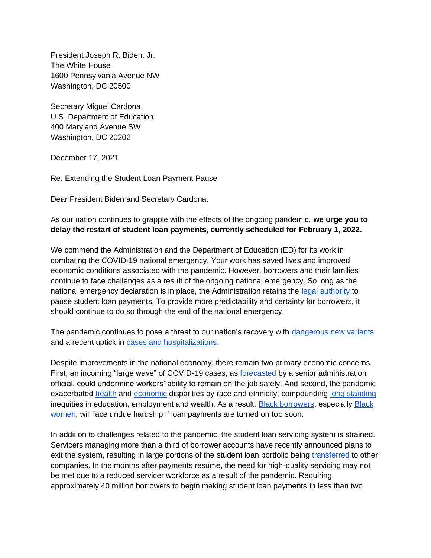President Joseph R. Biden, Jr. The White House 1600 Pennsylvania Avenue NW Washington, DC 20500

Secretary Miguel Cardona U.S. Department of Education 400 Maryland Avenue SW Washington, DC 20202

December 17, 2021

Re: Extending the Student Loan Payment Pause

Dear President Biden and Secretary Cardona:

As our nation continues to grapple with the effects of the ongoing pandemic, **we urge you to delay the restart of student loan payments, currently scheduled for February 1, 2022.** 

We commend the Administration and the Department of Education (ED) for its work in combating the COVID-19 national emergency. Your work has saved lives and improved economic conditions associated with the pandemic. However, borrowers and their families continue to face challenges as a result of the ongoing national emergency. So long as the national emergency declaration is in place, the Administration retains the [legal authority](https://crsreports.congress.gov/product/pdf/LSB/LSB10568/2) to pause student loan payments. To provide more predictability and certainty for borrowers, it should continue to do so through the end of the national emergency.

The pandemic continues to pose a threat to our nation's recovery with [dangerous new variants](https://www.science.org/content/article/how-bad-omicron-some-clues-are-emerging-and-they-re-not-encouraging) and a recent uptick in [cases and hospitalizations.](https://www.cnbc.com/2021/12/02/covid-hospitalizations-from-delta-variant-creep-up-again-across-america-as-omicron-lands-in-us-.html)

Despite improvements in the national economy, there remain two primary economic concerns. First, an incoming "large wave" of COVID-19 cases, as [forecasted](https://www.axios.com/omicron-coronavirus-cases-europe-america-c85be94d-8edf-4d61-9f05-de924bff6760.html?utm_source=newsletter&utm_medium=email&utm_campaign=newsletter_axiosvitals&stream=top) by a senior administration official, could undermine workers' ability to remain on the job safely. And second, the pandemic exacerbated [health](https://www.cdc.gov/coronavirus/2019-ncov/community/health-equity/race-ethnicity.html) and [economic](https://www.brookings.edu/blog/the-avenue/2021/12/08/the-november-jobs-report-shows-black-women-are-leaving-the-labor-force/) disparities by race and ethnicity, compounding [long standing](https://www.pewtrusts.org/en/research-and-analysis/articles/2020/12/15/race-and-financial-security-play-central-roles-in-student-loan-repayment) inequities in education, employment and wealth. As a result, [Black borrowers,](https://www.americanprogress.org/article/continued-student-loan-crisis-black-borrowers/) especially [Black](https://www.whitehouse.gov/briefing-room/blog/2021/03/23/covid-19-has-exacerbated-the-economic-inequality-and-caregiving-crisis-facing-women-of-color-heres-how-the-american-rescue-plan-helps/)  [women,](https://www.whitehouse.gov/briefing-room/blog/2021/03/23/covid-19-has-exacerbated-the-economic-inequality-and-caregiving-crisis-facing-women-of-color-heres-how-the-american-rescue-plan-helps/) will face undue hardship if loan payments are turned on too soon.

In addition to challenges related to the pandemic, the student loan servicing system is strained. Servicers managing more than a third of borrower accounts have recently announced plans to exit the system, resulting in large portions of the student loan portfolio being [transferred](https://studentaid.gov/announcements-events/loan-servicer-updates) to other companies. In the months after payments resume, the need for high-quality servicing may not be met due to a reduced servicer workforce as a result of the pandemic. Requiring approximately 40 million borrowers to begin making student loan payments in less than two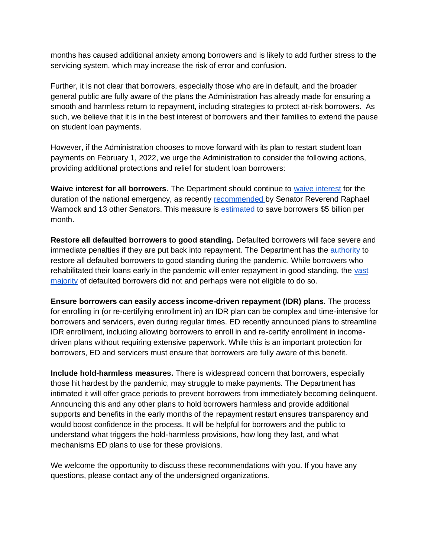months has caused additional anxiety among borrowers and is likely to add further stress to the servicing system, which may increase the risk of error and confusion.

Further, it is not clear that borrowers, especially those who are in default, and the broader general public are fully aware of the plans the Administration has already made for ensuring a smooth and harmless return to repayment, including strategies to protect at-risk borrowers. As such, we believe that it is in the best interest of borrowers and their families to extend the pause on student loan payments.

However, if the Administration chooses to move forward with its plan to restart student loan payments on February 1, 2022, we urge the Administration to consider the following actions, providing additional protections and relief for student loan borrowers:

**Waive interest for all borrowers**. The Department should continue to [waive interest](https://money.com/federal-student-loans-no-interest/) for the duration of the national emergency, as recently [recommended b](https://www.warnock.senate.gov/wp-content/uploads/2021/12/12.6.2021-Letter-to-President-Biden-re.-Loan-Deferment-FINAL.pdf?source=email)y Senator Reverend Raphael Warnock and 13 other Senators. This measure is [estimated t](https://www.warren.senate.gov/imo/media/doc/Education%20Department%20Response%20to%20Sen%20Warren%20-%204-8-21.pdf)o save borrowers \$5 billion per month.

**Restore all defaulted borrowers to good standing.** Defaulted borrowers will face severe and immediate penalties if they are put back into repayment. The Department has the [authority](https://www.brookings.edu/research/three-ways-the-biden-administration-can-help-families-and-student-loan-borrowers-affected-by-the-pandemic/) to restore all defaulted borrowers to good standing during the pandemic. While borrowers who rehabilitated their loans early in the pandemic will enter repayment in good standing, the [vast](https://www.businessinsider.com/student-loan-borrowers-in-default-after-pandemic-pause-debt-payments-2021-11)  [majority](https://www.businessinsider.com/student-loan-borrowers-in-default-after-pandemic-pause-debt-payments-2021-11) of defaulted borrowers did not and perhaps were not eligible to do so.

**Ensure borrowers can easily access income-driven repayment (IDR) plans.** The process for enrolling in (or re-certifying enrollment in) an IDR plan can be complex and time-intensive for borrowers and servicers, even during regular times. ED recently announced plans to streamline IDR enrollment, including allowing borrowers to enroll in and re-certify enrollment in incomedriven plans without requiring extensive paperwork. While this is an important protection for borrowers, ED and servicers must ensure that borrowers are fully aware of this benefit.

**Include hold-harmless measures.** There is widespread concern that borrowers, especially those hit hardest by the pandemic, may struggle to make payments. The Department has intimated it will offer grace periods to prevent borrowers from immediately becoming delinquent. Announcing this and any other plans to hold borrowers harmless and provide additional supports and benefits in the early months of the repayment restart ensures transparency and would boost confidence in the process. It will be helpful for borrowers and the public to understand what triggers the hold-harmless provisions, how long they last, and what mechanisms ED plans to use for these provisions.

We welcome the opportunity to discuss these recommendations with you. If you have any questions, please contact any of the undersigned organizations.